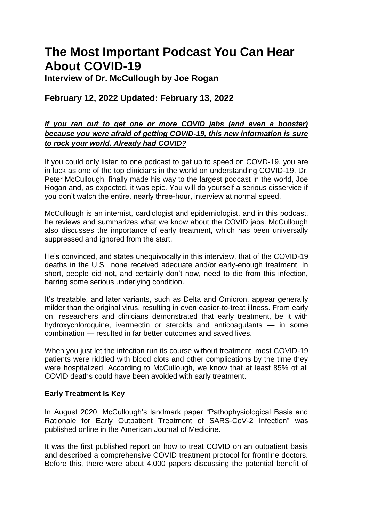# **The Most Important Podcast You Can Hear About COVID-19**

**Interview of Dr. McCullough by Joe Rogan**

## **February 12, 2022 Updated: February 13, 2022**

## *If you ran out to get one or more COVID jabs (and even a booster) because you were afraid of getting COVID-19, this new information is sure to rock your world. Already had COVID?*

If you could only listen to one podcast to get up to speed on COVD-19, you are in luck as one of the top clinicians in the world on understanding COVID-19, Dr. Peter McCullough, finally made his way to the largest podcast in the world, Joe Rogan and, as expected, it was epic. You will do yourself a serious disservice if you don"t watch the entire, nearly three-hour, interview at normal speed.

McCullough is an internist, cardiologist and epidemiologist, and in this podcast, he reviews and summarizes what we know about the COVID jabs. McCullough also discusses the importance of early treatment, which has been universally suppressed and ignored from the start.

He"s convinced, and states unequivocally in this interview, that of the COVID-19 deaths in the U.S., none received adequate and/or early-enough treatment. In short, people did not, and certainly don't now, need to die from this infection, barring some serious underlying condition.

It's treatable, and later variants, such as Delta and Omicron, appear generally milder than the original virus, resulting in even easier-to-treat illness. From early on, researchers and clinicians demonstrated that early treatment, be it with hydroxychloroquine, ivermectin or steroids and anticoagulants — in some combination — resulted in far better outcomes and saved lives.

When you just let the infection run its course without treatment, most COVID-19 patients were riddled with blood clots and other complications by the time they were hospitalized. According to McCullough, we know that at least 85% of all COVID deaths could have been avoided with early treatment.

### **Early Treatment Is Key**

In August 2020, McCullough"s landmark paper "Pathophysiological Basis and Rationale for Early Outpatient Treatment of SARS-CoV-2 Infection" was published online in the American Journal of Medicine.

It was the first published report on how to treat COVID on an outpatient basis and described a comprehensive COVID treatment protocol for frontline doctors. Before this, there were about 4,000 papers discussing the potential benefit of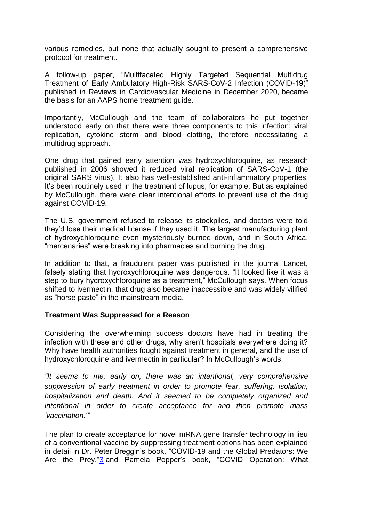various remedies, but none that actually sought to present a comprehensive protocol for treatment.

A follow-up paper, "Multifaceted Highly Targeted Sequential Multidrug Treatment of Early Ambulatory High-Risk SARS-CoV-2 Infection (COVID-19)" published in Reviews in Cardiovascular Medicine in December 2020, became the basis for an AAPS home treatment guide.

Importantly, McCullough and the team of collaborators he put together understood early on that there were three components to this infection: viral replication, cytokine storm and blood clotting, therefore necessitating a multidrug approach.

One drug that gained early attention was hydroxychloroquine, as research published in 2006 showed it reduced viral replication of SARS-CoV-1 (the original SARS virus). It also has well-established anti-inflammatory properties. It's been routinely used in the treatment of lupus, for example. But as explained by McCullough, there were clear intentional efforts to prevent use of the drug against COVID-19.

The U.S. government refused to release its stockpiles, and doctors were told they"d lose their medical license if they used it. The largest manufacturing plant of hydroxychloroquine even mysteriously burned down, and in South Africa, "mercenaries" were breaking into pharmacies and burning the drug.

In addition to that, a fraudulent paper was published in the journal Lancet, falsely stating that hydroxychloroquine was dangerous. "It looked like it was a step to bury hydroxychloroquine as a treatment," McCullough says. When focus shifted to ivermectin, that drug also became inaccessible and was widely vilified as "horse paste" in the mainstream media.

#### **Treatment Was Suppressed for a Reason**

Considering the overwhelming success doctors have had in treating the infection with these and other drugs, why aren't hospitals everywhere doing it? Why have health authorities fought against treatment in general, and the use of hydroxychloroquine and ivermectin in particular? In McCullough's words:

*"It seems to me, early on, there was an intentional, very comprehensive suppression of early treatment in order to promote fear, suffering, isolation, hospitalization and death. And it seemed to be completely organized and intentional in order to create acceptance for and then promote mass "vaccination.'"*

The plan to create acceptance for novel mRNA gene transfer technology in lieu of a conventional vaccine by suppressing treatment options has been explained in detail in Dr. Peter Breggin"s book, "COVID-19 and the Global Predators: We Are the Prey,["3](https://takecontrol.substack.com/p/understanding-covid-19#footnote-3) and Pamela Popper's book, "COVID Operation: What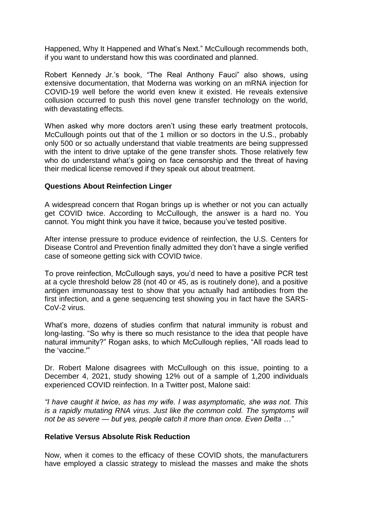Happened, Why It Happened and What"s Next." McCullough recommends both, if you want to understand how this was coordinated and planned.

Robert Kennedy Jr.'s book, "The Real Anthony Fauci" also shows, using extensive documentation, that Moderna was working on an mRNA injection for COVID-19 well before the world even knew it existed. He reveals extensive collusion occurred to push this novel gene transfer technology on the world, with devastating effects.

When asked why more doctors aren't using these early treatment protocols, McCullough points out that of the 1 million or so doctors in the U.S., probably only 500 or so actually understand that viable treatments are being suppressed with the intent to drive uptake of the gene transfer shots. Those relatively few who do understand what's going on face censorship and the threat of having their medical license removed if they speak out about treatment.

#### **Questions About Reinfection Linger**

A widespread concern that Rogan brings up is whether or not you can actually get COVID twice. According to McCullough, the answer is a hard no. You cannot. You might think you have it twice, because you"ve tested positive.

After intense pressure to produce evidence of reinfection, the U.S. Centers for Disease Control and Prevention finally admitted they don"t have a single verified case of someone getting sick with COVID twice.

To prove reinfection, McCullough says, you"d need to have a positive PCR test at a cycle threshold below 28 (not 40 or 45, as is routinely done), and a positive antigen immunoassay test to show that you actually had antibodies from the first infection, and a gene sequencing test showing you in fact have the SARS-CoV-2 virus.

What's more, dozens of studies confirm that natural immunity is robust and long-lasting. "So why is there so much resistance to the idea that people have natural immunity?" Rogan asks, to which McCullough replies, "All roads lead to the "vaccine.'"

Dr. Robert Malone disagrees with McCullough on this issue, pointing to a December 4, 2021, study showing 12% out of a sample of 1,200 individuals experienced COVID reinfection. In a Twitter post, Malone said:

*"I have caught it twice, as has my wife. I was asymptomatic, she was not. This is a rapidly mutating RNA virus. Just like the common cold. The symptoms will not be as severe — but yes, people catch it more than once. Even Delta …"*

#### **Relative Versus Absolute Risk Reduction**

Now, when it comes to the efficacy of these COVID shots, the manufacturers have employed a classic strategy to mislead the masses and make the shots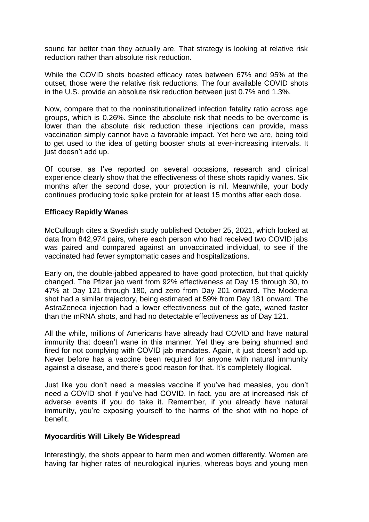sound far better than they actually are. That strategy is looking at relative risk reduction rather than absolute risk reduction.

While the COVID shots boasted efficacy rates between 67% and 95% at the outset, those were the relative risk reductions. The four available COVID shots in the U.S. provide an absolute risk reduction between just 0.7% and 1.3%.

Now, compare that to the noninstitutionalized infection fatality ratio across age groups, which is 0.26%. Since the absolute risk that needs to be overcome is lower than the absolute risk reduction these injections can provide, mass vaccination simply cannot have a favorable impact. Yet here we are, being told to get used to the idea of getting booster shots at ever-increasing intervals. It just doesn"t add up.

Of course, as I"ve reported on several occasions, research and clinical experience clearly show that the effectiveness of these shots rapidly wanes. Six months after the second dose, your protection is nil. Meanwhile, your body continues producing toxic spike protein for at least 15 months after each dose.

#### **Efficacy Rapidly Wanes**

McCullough cites a Swedish study published October 25, 2021, which looked at data from 842,974 pairs, where each person who had received two COVID jabs was paired and compared against an unvaccinated individual, to see if the vaccinated had fewer symptomatic cases and hospitalizations.

Early on, the double-jabbed appeared to have good protection, but that quickly changed. The Pfizer jab went from 92% effectiveness at Day 15 through 30, to 47% at Day 121 through 180, and zero from Day 201 onward. The Moderna shot had a similar trajectory, being estimated at 59% from Day 181 onward. The AstraZeneca injection had a lower effectiveness out of the gate, waned faster than the mRNA shots, and had no detectable effectiveness as of Day 121.

All the while, millions of Americans have already had COVID and have natural immunity that doesn't wane in this manner. Yet they are being shunned and fired for not complying with COVID jab mandates. Again, it just doesn"t add up. Never before has a vaccine been required for anyone with natural immunity against a disease, and there's good reason for that. It's completely illogical.

Just like you don"t need a measles vaccine if you"ve had measles, you don"t need a COVID shot if you"ve had COVID. In fact, you are at increased risk of adverse events if you do take it. Remember, if you already have natural immunity, you"re exposing yourself to the harms of the shot with no hope of benefit.

#### **Myocarditis Will Likely Be Widespread**

Interestingly, the shots appear to harm men and women differently. Women are having far higher rates of neurological injuries, whereas boys and young men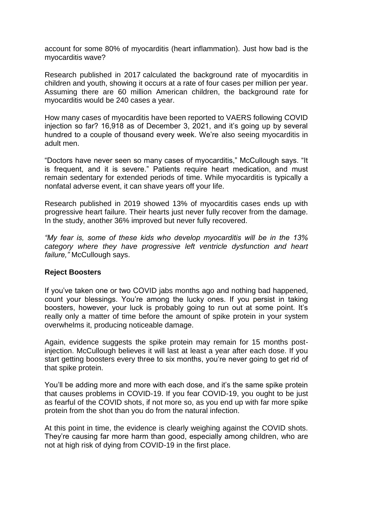account for some 80% of myocarditis (heart inflammation). Just how bad is the myocarditis wave?

Research published in 2017 calculated the background rate of myocarditis in children and youth, showing it occurs at a rate of four cases per million per year. Assuming there are 60 million American children, the background rate for myocarditis would be 240 cases a year.

How many cases of myocarditis have been reported to VAERS following COVID injection so far? 16,918 as of December 3, 2021, and it's going up by several hundred to a couple of thousand every week. We"re also seeing myocarditis in adult men.

"Doctors have never seen so many cases of myocarditis," McCullough says. "It is frequent, and it is severe." Patients require heart medication, and must remain sedentary for extended periods of time. While myocarditis is typically a nonfatal adverse event, it can shave years off your life.

Research published in 2019 showed 13% of myocarditis cases ends up with progressive heart failure. Their hearts just never fully recover from the damage. In the study, another 36% improved but never fully recovered.

*"My fear is, some of these kids who develop myocarditis will be in the 13% category where they have progressive left ventricle dysfunction and heart failure,"* McCullough says.

#### **Reject Boosters**

If you"ve taken one or two COVID jabs months ago and nothing bad happened, count your blessings. You"re among the lucky ones. If you persist in taking boosters, however, your luck is probably going to run out at some point. It"s really only a matter of time before the amount of spike protein in your system overwhelms it, producing noticeable damage.

Again, evidence suggests the spike protein may remain for 15 months postinjection. McCullough believes it will last at least a year after each dose. If you start getting boosters every three to six months, you"re never going to get rid of that spike protein.

You"ll be adding more and more with each dose, and it"s the same spike protein that causes problems in COVID-19. If you fear COVID-19, you ought to be just as fearful of the COVID shots, if not more so, as you end up with far more spike protein from the shot than you do from the natural infection.

At this point in time, the evidence is clearly weighing against the COVID shots. They"re causing far more harm than good, especially among children, who are not at high risk of dying from COVID-19 in the first place.